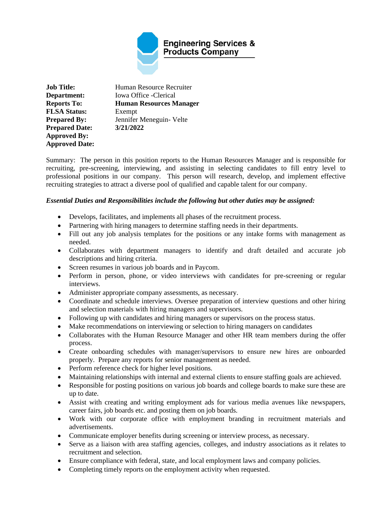

**Job Title:** Human Resource Recruiter **Department:** Iowa Office -Clerical **Reports To: Human Resources Manager FLSA Status:** Exempt **Prepared By:** Jennifer Meneguin- Velte **Prepared Date: 3/21/2022 Approved By: Approved Date:** 

Summary: The person in this position reports to the Human Resources Manager and is responsible for recruiting, pre-screening, interviewing, and assisting in selecting candidates to fill entry level to professional positions in our company. This person will research, develop, and implement effective recruiting strategies to attract a diverse pool of qualified and capable talent for our company.

# *Essential Duties and Responsibilities include the following but other duties may be assigned:*

- Develops, facilitates, and implements all phases of the recruitment process.
- Partnering with hiring managers to determine staffing needs in their departments.
- Fill out any job analysis templates for the positions or any intake forms with management as needed.
- Collaborates with department managers to identify and draft detailed and accurate job descriptions and hiring criteria.
- Screen resumes in various job boards and in Paycom.
- Perform in person, phone, or video interviews with candidates for pre-screening or regular interviews.
- Administer appropriate company assessments, as necessary.
- Coordinate and schedule interviews. Oversee preparation of interview questions and other hiring and selection materials with hiring managers and supervisors.
- Following up with candidates and hiring managers or supervisors on the process status.
- Make recommendations on interviewing or selection to hiring managers on candidates
- Collaborates with the Human Resource Manager and other HR team members during the offer process.
- Create onboarding schedules with manager/supervisors to ensure new hires are onboarded properly. Prepare any reports for senior management as needed.
- Perform reference check for higher level positions.
- Maintaining relationships with internal and external clients to ensure staffing goals are achieved.
- Responsible for posting positions on various job boards and college boards to make sure these are up to date.
- Assist with creating and writing employment ads for various media avenues like newspapers, career fairs, job boards etc. and posting them on job boards.
- Work with our corporate office with employment branding in recruitment materials and advertisements.
- Communicate employer benefits during screening or interview process, as necessary.
- Serve as a liaison with area staffing agencies, colleges, and industry associations as it relates to recruitment and selection.
- Ensure compliance with federal, state, and local employment laws and company policies.
- Completing timely reports on the employment activity when requested.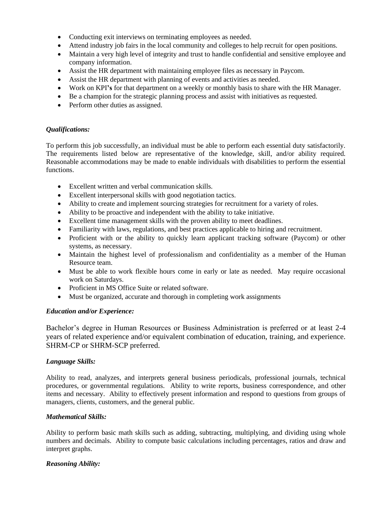- Conducting exit interviews on terminating employees as needed.
- Attend industry job fairs in the local community and colleges to help recruit for open positions.
- Maintain a very high level of integrity and trust to handle confidential and sensitive employee and company information.
- Assist the HR department with maintaining employee files as necessary in Paycom.
- Assist the HR department with planning of events and activities as needed.
- Work on KPI**'s** for that department on a weekly or monthly basis to share with the HR Manager.
- Be a champion for the strategic planning process and assist with initiatives as requested.
- Perform other duties as assigned.

## *Qualifications:*

To perform this job successfully, an individual must be able to perform each essential duty satisfactorily. The requirements listed below are representative of the knowledge, skill, and/or ability required. Reasonable accommodations may be made to enable individuals with disabilities to perform the essential functions.

- Excellent written and verbal communication skills.
- Excellent interpersonal skills with good negotiation tactics.
- Ability to create and implement sourcing strategies for recruitment for a variety of roles.
- Ability to be proactive and independent with the ability to take initiative.
- Excellent time management skills with the proven ability to meet deadlines.
- Familiarity with laws, regulations, and best practices applicable to hiring and recruitment.
- Proficient with or the ability to quickly learn applicant tracking software (Paycom) or other systems, as necessary.
- Maintain the highest level of professionalism and confidentiality as a member of the Human Resource team.
- Must be able to work flexible hours come in early or late as needed. May require occasional work on Saturdays.
- Proficient in MS Office Suite or related software.
- Must be organized, accurate and thorough in completing work assignments

## *Education and/or Experience:*

Bachelor's degree in Human Resources or Business Administration is preferred or at least 2-4 years of related experience and/or equivalent combination of education, training, and experience. SHRM-CP or SHRM-SCP preferred.

## *Language Skills:*

Ability to read, analyzes, and interprets general business periodicals, professional journals, technical procedures, or governmental regulations. Ability to write reports, business correspondence, and other items and necessary. Ability to effectively present information and respond to questions from groups of managers, clients, customers, and the general public.

## *Mathematical Skills:*

Ability to perform basic math skills such as adding, subtracting, multiplying, and dividing using whole numbers and decimals. Ability to compute basic calculations including percentages, ratios and draw and interpret graphs.

## *Reasoning Ability:*